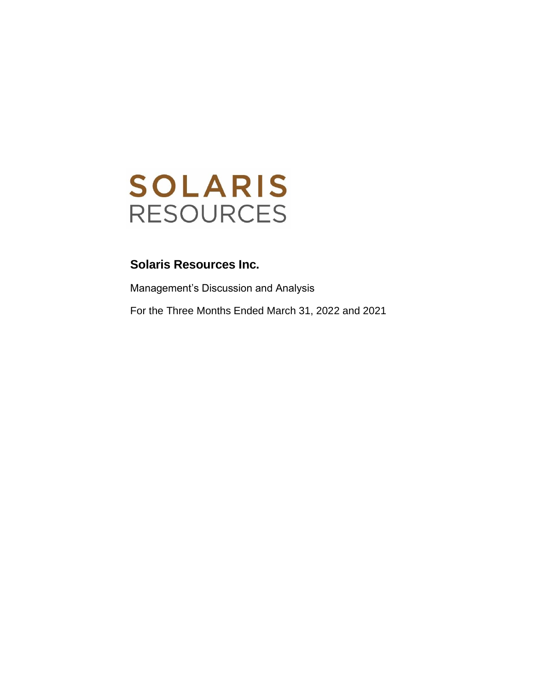

Management's Discussion and Analysis For the Three Months Ended March 31, 2022 and 2021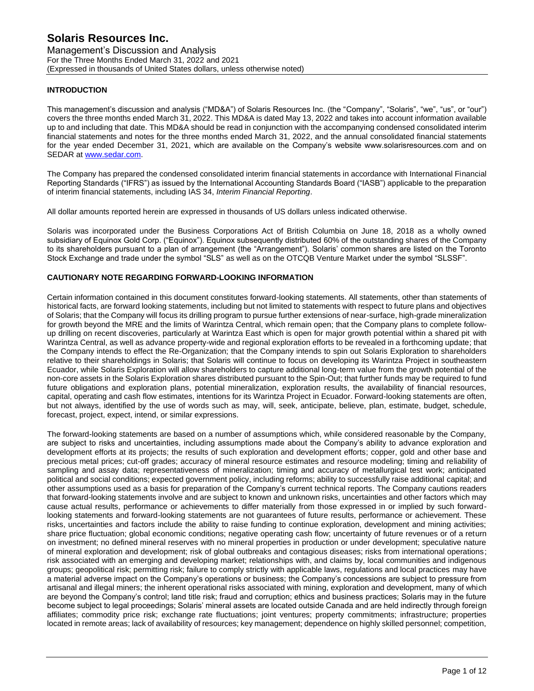Management's Discussion and Analysis For the Three Months Ended March 31, 2022 and 2021 (Expressed in thousands of United States dollars, unless otherwise noted)

## **INTRODUCTION**

This management's discussion and analysis ("MD&A") of Solaris Resources Inc. (the "Company", "Solaris", "we", "us", or "our") covers the three months ended March 31, 2022. This MD&A is dated May 13, 2022 and takes into account information available up to and including that date. This MD&A should be read in conjunction with the accompanying condensed consolidated interim financial statements and notes for the three months ended March 31, 2022, and the annual consolidated financial statements for the year ended December 31, 2021, which are available on the Company's website www.solarisresources.com and on SEDAR at www.sedar.com.

The Company has prepared the condensed consolidated interim financial statements in accordance with International Financial Reporting Standards ("IFRS") as issued by the International Accounting Standards Board ("IASB") applicable to the preparation of interim financial statements, including IAS 34, *Interim Financial Reporting*.

All dollar amounts reported herein are expressed in thousands of US dollars unless indicated otherwise.

Solaris was incorporated under the Business Corporations Act of British Columbia on June 18, 2018 as a wholly owned subsidiary of Equinox Gold Corp. ("Equinox"). Equinox subsequently distributed 60% of the outstanding shares of the Company to its shareholders pursuant to a plan of arrangement (the "Arrangement"). Solaris' common shares are listed on the Toronto Stock Exchange and trade under the symbol "SLS" as well as on the OTCQB Venture Market under the symbol "SLSSF".

## **CAUTIONARY NOTE REGARDING FORWARD-LOOKING INFORMATION**

Certain information contained in this document constitutes forward-looking statements. All statements, other than statements of historical facts, are forward looking statements, including but not limited to statements with respect to future plans and objectives of Solaris; that the Company will focus its drilling program to pursue further extensions of near-surface, high-grade mineralization for growth beyond the MRE and the limits of Warintza Central, which remain open; that the Company plans to complete followup drilling on recent discoveries, particularly at Warintza East which is open for major growth potential within a shared pit with Warintza Central, as well as advance property-wide and regional exploration efforts to be revealed in a forthcoming update; that the Company intends to effect the Re-Organization; that the Company intends to spin out Solaris Exploration to shareholders relative to their shareholdings in Solaris; that Solaris will continue to focus on developing its Warintza Project in southeastern Ecuador, while Solaris Exploration will allow shareholders to capture additional long-term value from the growth potential of the non-core assets in the Solaris Exploration shares distributed pursuant to the Spin-Out; that further funds may be required to fund future obligations and exploration plans, potential mineralization, exploration results, the availability of financial resources, capital, operating and cash flow estimates, intentions for its Warintza Project in Ecuador. Forward-looking statements are often, but not always, identified by the use of words such as may, will, seek, anticipate, believe, plan, estimate, budget, schedule, forecast, project, expect, intend, or similar expressions.

The forward-looking statements are based on a number of assumptions which, while considered reasonable by the Company, are subject to risks and uncertainties, including assumptions made about the Company's ability to advance exploration and development efforts at its projects; the results of such exploration and development efforts; copper, gold and other base and precious metal prices; cut-off grades; accuracy of mineral resource estimates and resource modeling; timing and reliability of sampling and assay data; representativeness of mineralization; timing and accuracy of metallurgical test work; anticipated political and social conditions; expected government policy, including reforms; ability to successfully raise additional capital; and other assumptions used as a basis for preparation of the Company's current technical reports. The Company cautions readers that forward-looking statements involve and are subject to known and unknown risks, uncertainties and other factors which may cause actual results, performance or achievements to differ materially from those expressed in or implied by such forwardlooking statements and forward-looking statements are not guarantees of future results, performance or achievement. These risks, uncertainties and factors include the ability to raise funding to continue exploration, development and mining activities; share price fluctuation; global economic conditions; negative operating cash flow; uncertainty of future revenues or of a return on investment; no defined mineral reserves with no mineral properties in production or under development; speculative nature of mineral exploration and development; risk of global outbreaks and contagious diseases; risks from international operations; risk associated with an emerging and developing market; relationships with, and claims by, local communities and indigenous groups; geopolitical risk; permitting risk; failure to comply strictly with applicable laws, regulations and local practices may have a material adverse impact on the Company's operations or business; the Company's concessions are subject to pressure from artisanal and illegal miners; the inherent operational risks associated with mining, exploration and development, many of which are beyond the Company's control; land title risk; fraud and corruption; ethics and business practices; Solaris may in the future become subject to legal proceedings; Solaris' mineral assets are located outside Canada and are held indirectly through foreign affiliates; commodity price risk; exchange rate fluctuations; joint ventures; property commitments; infrastructure; properties located in remote areas; lack of availability of resources; key management; dependence on highly skilled personnel; competition,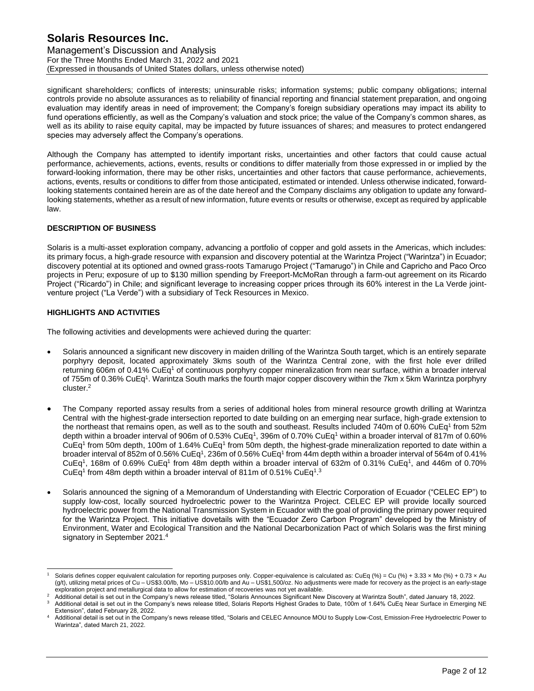Management's Discussion and Analysis For the Three Months Ended March 31, 2022 and 2021 (Expressed in thousands of United States dollars, unless otherwise noted)

significant shareholders; conflicts of interests; uninsurable risks; information systems; public company obligations; internal controls provide no absolute assurances as to reliability of financial reporting and financial statement preparation, and ongoing evaluation may identify areas in need of improvement; the Company's foreign subsidiary operations may impact its ability to fund operations efficiently, as well as the Company's valuation and stock price; the value of the Company's common shares, as well as its ability to raise equity capital, may be impacted by future issuances of shares; and measures to protect endangered species may adversely affect the Company's operations.

Although the Company has attempted to identify important risks, uncertainties and other factors that could cause actual performance, achievements, actions, events, results or conditions to differ materially from those expressed in or implied by the forward-looking information, there may be other risks, uncertainties and other factors that cause performance, achievements, actions, events, results or conditions to differ from those anticipated, estimated or intended. Unless otherwise indicated, forwardlooking statements contained herein are as of the date hereof and the Company disclaims any obligation to update any forwardlooking statements, whether as a result of new information, future events or results or otherwise, except as required by applicable law.

### **DESCRIPTION OF BUSINESS**

Solaris is a multi-asset exploration company, advancing a portfolio of copper and gold assets in the Americas, which includes: its primary focus, a high-grade resource with expansion and discovery potential at the Warintza Project ("Warintza") in Ecuador; discovery potential at its optioned and owned grass-roots Tamarugo Project ("Tamarugo") in Chile and Capricho and Paco Orco projects in Peru; exposure of up to \$130 million spending by Freeport-McMoRan through a farm-out agreement on its Ricardo Project ("Ricardo") in Chile; and significant leverage to increasing copper prices through its 60% interest in the La Verde jointventure project ("La Verde") with a subsidiary of Teck Resources in Mexico.

### **HIGHLIGHTS AND ACTIVITIES**

The following activities and developments were achieved during the quarter:

- Solaris announced a significant new discovery in maiden drilling of the Warintza South target, which is an entirely separate porphyry deposit, located approximately 3kms south of the Warintza Central zone, with the first hole ever drilled returning 606m of 0.41% CuEq<sup>1</sup> of continuous porphyry copper mineralization from near surface, within a broader interval of 755m of 0.36% CuEq<sup>1</sup>. Warintza South marks the fourth major copper discovery within the 7km x 5km Warintza porphyry cluster. 2
- The Company reported assay results from a series of additional holes from mineral resource growth drilling at Warintza Central with the highest-grade intersection reported to date building on an emerging near surface, high-grade extension to the northeast that remains open, as well as to the south and southeast. Results included 740m of 0.60% CuEq<sup>1</sup> from 52m depth within a broader interval of 906m of 0.53% CuEq<sup>1</sup>, 396m of 0.70% CuEq<sup>1</sup> within a broader interval of 817m of 0.60% CuEq<sup>1</sup> from 50m depth, 100m of 1.64% CuEq<sup>1</sup> from 50m depth, the highest-grade mineralization reported to date within a broader interval of 852m of 0.56% CuEq<sup>1</sup>, 236m of 0.56% CuEq<sup>1</sup> from 44m depth within a broader interval of 564m of 0.41% CuEq<sup>1</sup>, 168m of 0.69% CuEq<sup>1</sup> from 48m depth within a broader interval of 632m of 0.31% CuEq<sup>1</sup>, and 446m of 0.70% CuEq<sup>1</sup> from 48m depth within a broader interval of 811m of 0.51% CuEq<sup>1,3</sup>
- Solaris announced the signing of a Memorandum of Understanding with Electric Corporation of Ecuador ("CELEC EP") to supply low-cost, locally sourced hydroelectric power to the Warintza Project. CELEC EP will provide locally sourced hydroelectric power from the National Transmission System in Ecuador with the goal of providing the primary power required for the Warintza Project. This initiative dovetails with the "Ecuador Zero Carbon Program" developed by the Ministry of Environment, Water and Ecological Transition and the National Decarbonization Pact of which Solaris was the first mining signatory in September 2021.<sup>4</sup>

Solaris defines copper equivalent calculation for reporting purposes only. Copper-equivalence is calculated as: CuEq (%) = Cu (%) + 3.33 x Mo (%) + 0.73 x Au (g/t), utilizing metal prices of Cu – US\$3.00/lb, Mo – US\$10.00/lb and Au – US\$1,500/oz. No adjustments were made for recovery as the project is an early-stage exploration project and metallurgical data to allow for estimation of recoveries was not yet available.

<sup>2</sup> Additional detail is set out in the Company's news release titled, "Solaris Announces Significant New Discovery at Warintza South", dated January 18, 2022.

Additional detail is set out in the Company's news release titled, Solaris Reports Highest Grades to Date, 100m of 1.64% CuEq Near Surface in Emerging NE Extension", dated February 28, 2022.

Additional detail is set out in the Company's news release titled, "Solaris and CELEC Announce MOU to Supply Low-Cost, Emission-Free Hydroelectric Power to Warintza", dated March 21, 2022.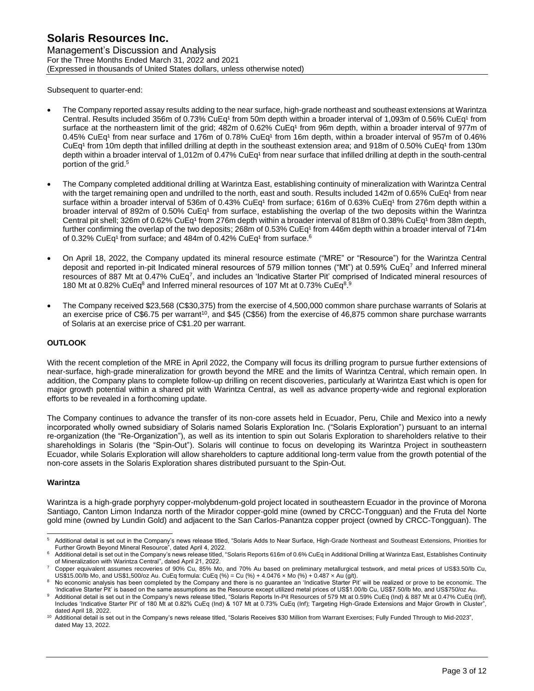Management's Discussion and Analysis For the Three Months Ended March 31, 2022 and 2021 (Expressed in thousands of United States dollars, unless otherwise noted)

Subsequent to quarter-end:

- The Company reported assay results adding to the near surface, high-grade northeast and southeast extensions at Warintza Central. Results included 356m of 0.73% CuEq<sup>1</sup> from 50m depth within a broader interval of 1,093m of 0.56% CuEq<sup>1</sup> from surface at the northeastern limit of the grid; 482m of 0.62% CuEq<sup>1</sup> from 96m depth, within a broader interval of 977m of 0.45% CuEq<sup>1</sup> from near surface and 176m of 0.78% CuEq<sup>1</sup> from 16m depth, within a broader interval of 957m of 0.46%  $CuEq<sup>1</sup>$  from 10m depth that infilled drilling at depth in the southeast extension area; and 918m of 0.50% CuEq<sup>1</sup> from 130m depth within a broader interval of 1,012m of 0.47% CuEq<sup>1</sup> from near surface that infilled drilling at depth in the south-central portion of the grid. 5
- The Company completed additional drilling at Warintza East, establishing continuity of mineralization with Warintza Central with the target remaining open and undrilled to the north, east and south. Results included 142m of 0.65% CuEq<sup>1</sup> from near surface within a broader interval of 536m of 0.43% CuEq<sup>1</sup> from surface; 616m of 0.63% CuEq<sup>1</sup> from 276m depth within a broader interval of 892m of 0.50% CuEq<sup>1</sup> from surface, establishing the overlap of the two deposits within the Warintza Central pit shell; 326m of 0.62% CuEq<sup>1</sup> from 276m depth within a broader interval of 818m of 0.38% CuEq<sup>1</sup> from 38m depth, further confirming the overlap of the two deposits; 268m of 0.53% CuEq<sup>1</sup> from 446m depth within a broader interval of 714m of 0.32% CuEq<sup>1</sup> from surface; and 484m of 0.42% CuEq<sup>1</sup> from surface.<sup>6</sup>
- On April 18, 2022, the Company updated its mineral resource estimate ("MRE" or "Resource") for the Warintza Central deposit and reported in-pit Indicated mineral resources of 579 million tonnes ("Mt") at 0.59% CuEq<sup>7</sup> and Inferred mineral resources of 887 Mt at 0.47% CuEq<sup>7</sup>, and includes an 'Indicative Starter Pit' comprised of Indicated mineral resources of 180 Mt at 0.82% CuEq<sup>8</sup> and Inferred mineral resources of 107 Mt at 0.73% CuEq<sup>8</sup>.<sup>9</sup>
- The Company received \$23,568 (C\$30,375) from the exercise of 4,500,000 common share purchase warrants of Solaris at an exercise price of C\$6.75 per warrant<sup>10</sup>, and \$45 (C\$56) from the exercise of 46,875 common share purchase warrants of Solaris at an exercise price of C\$1.20 per warrant.

## **OUTLOOK**

With the recent completion of the MRE in April 2022, the Company will focus its drilling program to pursue further extensions of near-surface, high-grade mineralization for growth beyond the MRE and the limits of Warintza Central, which remain open. In addition, the Company plans to complete follow-up drilling on recent discoveries, particularly at Warintza East which is open for major growth potential within a shared pit with Warintza Central, as well as advance property-wide and regional exploration efforts to be revealed in a forthcoming update.

The Company continues to advance the transfer of its non-core assets held in Ecuador, Peru, Chile and Mexico into a newly incorporated wholly owned subsidiary of Solaris named Solaris Exploration Inc. ("Solaris Exploration") pursuant to an internal re-organization (the "Re-Organization"), as well as its intention to spin out Solaris Exploration to shareholders relative to their shareholdings in Solaris (the "Spin-Out"). Solaris will continue to focus on developing its Warintza Project in southeastern Ecuador, while Solaris Exploration will allow shareholders to capture additional long-term value from the growth potential of the non-core assets in the Solaris Exploration shares distributed pursuant to the Spin-Out.

#### **Warintza**

Warintza is a high-grade porphyry copper-molybdenum-gold project located in southeastern Ecuador in the province of Morona Santiago, Canton Limon Indanza north of the Mirador copper-gold mine (owned by CRCC-Tongguan) and the Fruta del Norte gold mine (owned by Lundin Gold) and adjacent to the San Carlos-Panantza copper project (owned by CRCC-Tongguan). The

<sup>5</sup> Additional detail is set out in the Company's news release titled, "Solaris Adds to Near Surface, High-Grade Northeast and Southeast Extensions, Priorities for Further Growth Beyond Mineral Resource", dated April 4, 2022.

<sup>6</sup> Additional detail is set out in the Company's news release titled, "Solaris Reports 616m of 0.6% CuEq in Additional Drilling at Warintza East, Establishes Continuity of Mineralization with Warintza Central", dated April 21, 2022.

<sup>7</sup> Copper equivalent assumes recoveries of 90% Cu, 85% Mo, and 70% Au based on preliminary metallurgical testwork, and metal prices of US\$3.50/lb Cu, US\$15.00/lb Mo, and US\$1,500/oz Au. CuEq formula: CuEq (%) = Cu (%) + 4.0476 × Mo (%) + 0.487 × Au (g/t).

No economic analysis has been completed by the Company and there is no guarantee an 'Indicative Starter Pit' will be realized or prove to be economic. The 'Indicative Starter Pit' is based on the same assumptions as the Resource except utilized metal prices of US\$1.00/lb Cu, US\$7.50/lb Mo, and US\$750/oz Au.

Additional detail is set out in the Company's news release titled, "Solaris Reports In-Pit Resources of 579 Mt at 0.59% CuEq (Ind) & 887 Mt at 0.47% CuEq (Inf), Includes 'Indicative Starter Pit' of 180 Mt at 0.82% CuEq (Ind) & 107 Mt at 0.73% CuEq (Inf); Targeting High-Grade Extensions and Major Growth in Cluster", dated April 18, 2022.

<sup>&</sup>lt;sup>10</sup> Additional detail is set out in the Company's news release titled, "Solaris Receives \$30 Million from Warrant Exercises; Fully Funded Through to Mid-2023", dated May 13, 2022.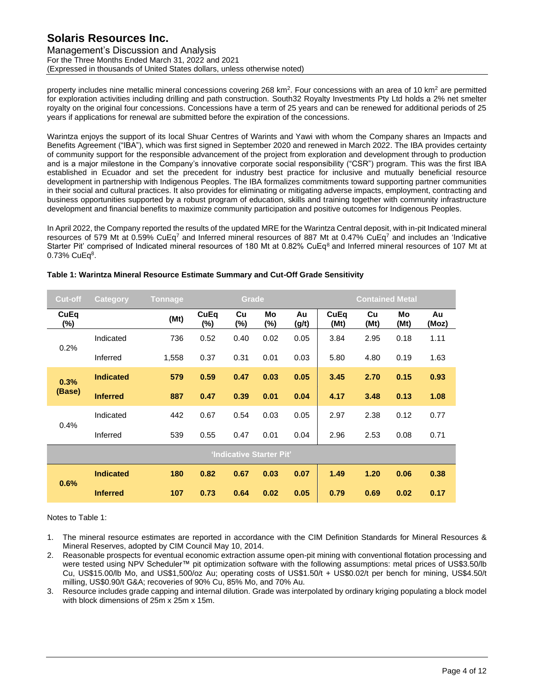Management's Discussion and Analysis For the Three Months Ended March 31, 2022 and 2021 (Expressed in thousands of United States dollars, unless otherwise noted)

property includes nine metallic mineral concessions covering 268 km<sup>2</sup>. Four concessions with an area of 10 km<sup>2</sup> are permitted for exploration activities including drilling and path construction. South32 Royalty Investments Pty Ltd holds a 2% net smelter royalty on the original four concessions. Concessions have a term of 25 years and can be renewed for additional periods of 25 years if applications for renewal are submitted before the expiration of the concessions.

Warintza enjoys the support of its local Shuar Centres of Warints and Yawi with whom the Company shares an Impacts and Benefits Agreement ("IBA"), which was first signed in September 2020 and renewed in March 2022. The IBA provides certainty of community support for the responsible advancement of the project from exploration and development through to production and is a major milestone in the Company's innovative corporate social responsibility ("CSR") program. This was the first IBA established in Ecuador and set the precedent for industry best practice for inclusive and mutually beneficial resource development in partnership with Indigenous Peoples. The IBA formalizes commitments toward supporting partner communities in their social and cultural practices. It also provides for eliminating or mitigating adverse impacts, employment, contracting and business opportunities supported by a robust program of education, skills and training together with community infrastructure development and financial benefits to maximize community participation and positive outcomes for Indigenous Peoples.

In April 2022, the Company reported the results of the updated MRE for the Warintza Central deposit, with in-pit Indicated mineral resources of 579 Mt at 0.59% CuEq<sup>7</sup> and Inferred mineral resources of 887 Mt at 0.47% CuEq<sup>7</sup> and includes an 'Indicative Starter Pit' comprised of Indicated mineral resources of 180 Mt at 0.82% CuEq<sup>8</sup> and Inferred mineral resources of 107 Mt at  $0.73\%$  CuEq $8.$ 

| <b>Cut-off</b> | <b>Category</b>  | <b>Tonnage</b> |                | Grade                    |           |             |              | <b>Contained Metal</b> |            |             |
|----------------|------------------|----------------|----------------|--------------------------|-----------|-------------|--------------|------------------------|------------|-------------|
| CuEq<br>$(\%)$ |                  | (Mt)           | CuEq<br>$(\%)$ | Cu<br>(%)                | Mo<br>(%) | Au<br>(g/t) | CuEq<br>(Mt) | Cu<br>(Mt)             | Mo<br>(Mt) | Au<br>(Moz) |
| 0.2%           | Indicated        | 736            | 0.52           | 0.40                     | 0.02      | 0.05        | 3.84         | 2.95                   | 0.18       | 1.11        |
|                | Inferred         | 1,558          | 0.37           | 0.31                     | 0.01      | 0.03        | 5.80         | 4.80                   | 0.19       | 1.63        |
| 0.3%           | <b>Indicated</b> | 579            | 0.59           | 0.47                     | 0.03      | 0.05        | 3.45         | 2.70                   | 0.15       | 0.93        |
| (Base)         | <b>Inferred</b>  | 887            | 0.47           | 0.39                     | 0.01      | 0.04        | 4.17         | 3.48                   | 0.13       | 1.08        |
| 0.4%           | Indicated        | 442            | 0.67           | 0.54                     | 0.03      | 0.05        | 2.97         | 2.38                   | 0.12       | 0.77        |
|                | Inferred         | 539            | 0.55           | 0.47                     | 0.01      | 0.04        | 2.96         | 2.53                   | 0.08       | 0.71        |
|                |                  |                |                | 'Indicative Starter Pit' |           |             |              |                        |            |             |
| 0.6%           | <b>Indicated</b> | 180            | 0.82           | 0.67                     | 0.03      | 0.07        | 1.49         | 1.20                   | 0.06       | 0.38        |
|                | <b>Inferred</b>  | 107            | 0.73           | 0.64                     | 0.02      | 0.05        | 0.79         | 0.69                   | 0.02       | 0.17        |

### **Table 1: Warintza Mineral Resource Estimate Summary and Cut-Off Grade Sensitivity**

#### Notes to Table 1:

- 1. The mineral resource estimates are reported in accordance with the CIM Definition Standards for Mineral Resources & Mineral Reserves, adopted by CIM Council May 10, 2014.
- 2. Reasonable prospects for eventual economic extraction assume open-pit mining with conventional flotation processing and were tested using NPV Scheduler™ pit optimization software with the following assumptions: metal prices of US\$3.50/lb Cu, US\$15.00/lb Mo, and US\$1,500/oz Au; operating costs of US\$1.50/t + US\$0.02/t per bench for mining, US\$4.50/t milling, US\$0.90/t G&A; recoveries of 90% Cu, 85% Mo, and 70% Au.
- 3. Resource includes grade capping and internal dilution. Grade was interpolated by ordinary kriging populating a block model with block dimensions of 25m x 25m x 15m.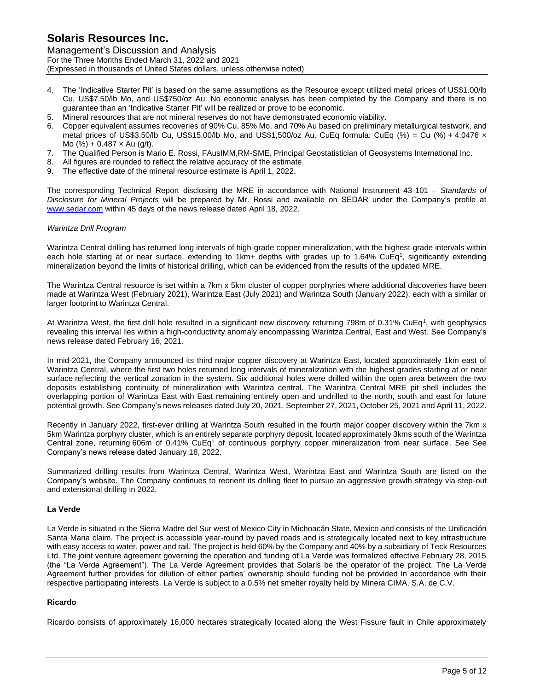Management's Discussion and Analysis For the Three Months Ended March 31, 2022 and 2021 (Expressed in thousands of United States dollars, unless otherwise noted)

- 4. The 'Indicative Starter Pit' is based on the same assumptions as the Resource except utilized metal prices of US\$1.00/lb Cu, US\$7.50/lb Mo, and US\$750/oz Au. No economic analysis has been completed by the Company and there is no guarantee than an 'Indicative Starter Pit' will be realized or prove to be economic.
- 5. Mineral resources that are not mineral reserves do not have demonstrated economic viability.
- 6. Copper equivalent assumes recoveries of 90% Cu, 85% Mo, and 70% Au based on preliminary metallurgical testwork, and metal prices of US\$3.50/lb Cu, US\$15.00/lb Mo, and US\$1,500/oz Au. CuEq formula: CuEq (%) = Cu (%) + 4.0476 x Mo (%) + 0.487  $\times$  Au (g/t).
- 7. The Qualified Person is Mario E. Rossi, FAusIMM,RM-SME, Principal Geostatistician of Geosystems International Inc.
- 8. All figures are rounded to reflect the relative accuracy of the estimate.
- 9. The effective date of the mineral resource estimate is April 1, 2022.

The corresponding Technical Report disclosing the MRE in accordance with National Instrument 43-101 – *Standards of Disclosure for Mineral Projects* will be prepared by Mr. Rossi and available on SEDAR under the Company's profile at www.sedar.com within 45 days of the news release dated April 18, 2022.

#### *Warintza Drill Program*

Warintza Central drilling has returned long intervals of high-grade copper mineralization, with the highest-grade intervals within each hole starting at or near surface, extending to 1km+ depths with grades up to 1.64% CuEq<sup>1</sup>, significantly extending mineralization beyond the limits of historical drilling, which can be evidenced from the results of the updated MRE.

The Warintza Central resource is set within a 7km x 5km cluster of copper porphyries where additional discoveries have been made at Warintza West (February 2021), Warintza East (July 2021) and Warintza South (January 2022), each with a similar or larger footprint to Warintza Central.

At Warintza West, the first drill hole resulted in a significant new discovery returning 798m of 0.31% CuEq<sup>1</sup>, with geophysics revealing this interval lies within a high-conductivity anomaly encompassing Warintza Central, East and West. See Company's news release dated February 16, 2021.

In mid-2021, the Company announced its third major copper discovery at Warintza East, located approximately 1km east of Warintza Central, where the first two holes returned long intervals of mineralization with the highest grades starting at or near surface reflecting the vertical zonation in the system. Six additional holes were drilled within the open area between the two deposits establishing continuity of mineralization with Warintza central. The Warintza Central MRE pit shell includes the overlapping portion of Warintza East with East remaining entirely open and undrilled to the north, south and east for future potential growth. See Company's news releases dated July 20, 2021, September 27, 2021, October 25, 2021 and April 11, 2022.

Recently in January 2022, first-ever drilling at Warintza South resulted in the fourth major copper discovery within the 7km x 5km Warintza porphyry cluster, which is an entirely separate porphyry deposit, located approximately 3kms south of the Warintza Central zone, returning 606m of 0.41% CuEq<sup>1</sup> of continuous porphyry copper mineralization from near surface. See See Company's news release dated January 18, 2022.

Summarized drilling results from Warintza Central, Warintza West, Warintza East and Warintza South are listed on the Company's website. The Company continues to reorient its drilling fleet to pursue an aggressive growth strategy via step-out and extensional drilling in 2022.

#### **La Verde**

La Verde is situated in the Sierra Madre del Sur west of Mexico City in Michoacán State, Mexico and consists of the Unificación Santa Maria claim. The project is accessible year-round by paved roads and is strategically located next to key infrastructure with easy access to water, power and rail. The project is held 60% by the Company and 40% by a subsidiary of Teck Resources Ltd. The joint venture agreement governing the operation and funding of La Verde was formalized effective February 28, 2015 (the "La Verde Agreement"). The La Verde Agreement provides that Solaris be the operator of the project. The La Verde Agreement further provides for dilution of either parties' ownership should funding not be provided in accordance with their respective participating interests. La Verde is subject to a 0.5% net smelter royalty held by Minera CIMA, S.A. de C.V.

## **Ricardo**

Ricardo consists of approximately 16,000 hectares strategically located along the West Fissure fault in Chile approximately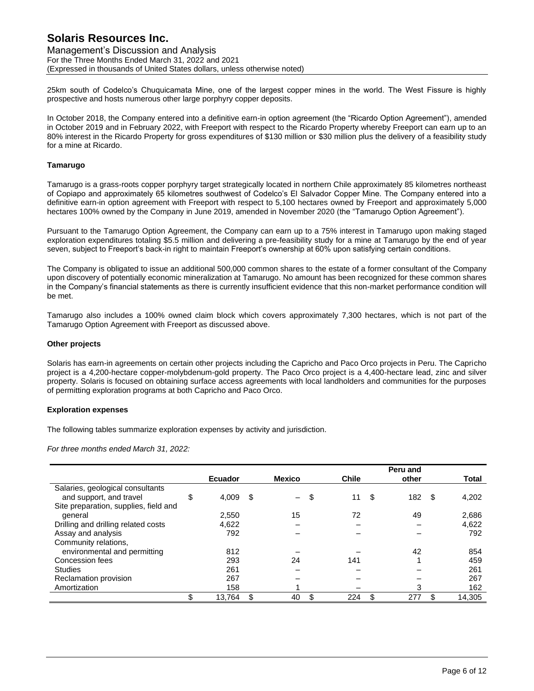Management's Discussion and Analysis For the Three Months Ended March 31, 2022 and 2021 (Expressed in thousands of United States dollars, unless otherwise noted)

25km south of Codelco's Chuquicamata Mine, one of the largest copper mines in the world. The West Fissure is highly prospective and hosts numerous other large porphyry copper deposits.

In October 2018, the Company entered into a definitive earn-in option agreement (the "Ricardo Option Agreement"), amended in October 2019 and in February 2022, with Freeport with respect to the Ricardo Property whereby Freeport can earn up to an 80% interest in the Ricardo Property for gross expenditures of \$130 million or \$30 million plus the delivery of a feasibility study for a mine at Ricardo.

### **Tamarugo**

Tamarugo is a grass-roots copper porphyry target strategically located in northern Chile approximately 85 kilometres northeast of Copiapo and approximately 65 kilometres southwest of Codelco's El Salvador Copper Mine. The Company entered into a definitive earn-in option agreement with Freeport with respect to 5,100 hectares owned by Freeport and approximately 5,000 hectares 100% owned by the Company in June 2019, amended in November 2020 (the "Tamarugo Option Agreement").

Pursuant to the Tamarugo Option Agreement, the Company can earn up to a 75% interest in Tamarugo upon making staged exploration expenditures totaling \$5.5 million and delivering a pre-feasibility study for a mine at Tamarugo by the end of year seven, subject to Freeport's back-in right to maintain Freeport's ownership at 60% upon satisfying certain conditions.

The Company is obligated to issue an additional 500,000 common shares to the estate of a former consultant of the Company upon discovery of potentially economic mineralization at Tamarugo. No amount has been recognized for these common shares in the Company's financial statements as there is currently insufficient evidence that this non-market performance condition will be met.

Tamarugo also includes a 100% owned claim block which covers approximately 7,300 hectares, which is not part of the Tamarugo Option Agreement with Freeport as discussed above.

### **Other projects**

Solaris has earn-in agreements on certain other projects including the Capricho and Paco Orco projects in Peru. The Capricho project is a 4,200-hectare copper-molybdenum-gold property. The Paco Orco project is a 4,400-hectare lead, zinc and silver property. Solaris is focused on obtaining surface access agreements with local landholders and communities for the purposes of permitting exploration programs at both Capricho and Paco Orco.

#### **Exploration expenses**

The following tables summarize exploration expenses by activity and jurisdiction.

*For three months ended March 31, 2022:*

|                                       |             |    |               |   |              | Peru and  |   |        |
|---------------------------------------|-------------|----|---------------|---|--------------|-----------|---|--------|
|                                       | Ecuador     |    | <b>Mexico</b> |   | <b>Chile</b> | other     |   | Total  |
| Salaries, geological consultants      |             |    |               |   |              |           |   |        |
| and support, and travel               | \$<br>4,009 | S  | $-$           | S | 11           | \$<br>182 | S | 4,202  |
| Site preparation, supplies, field and |             |    |               |   |              |           |   |        |
| general                               | 2,550       |    | 15            |   | 72           | 49        |   | 2,686  |
| Drilling and drilling related costs   | 4,622       |    |               |   |              |           |   | 4,622  |
| Assay and analysis                    | 792         |    |               |   |              |           |   | 792    |
| Community relations,                  |             |    |               |   |              |           |   |        |
| environmental and permitting          | 812         |    |               |   |              | 42        |   | 854    |
| Concession fees                       | 293         |    | 24            |   | 141          |           |   | 459    |
| <b>Studies</b>                        | 261         |    |               |   |              |           |   | 261    |
| Reclamation provision                 | 267         |    |               |   |              |           |   | 267    |
| Amortization                          | 158         |    |               |   |              | 3         |   | 162    |
|                                       | 13.764      | \$ | 40            |   | 224          | 277       |   | 14.305 |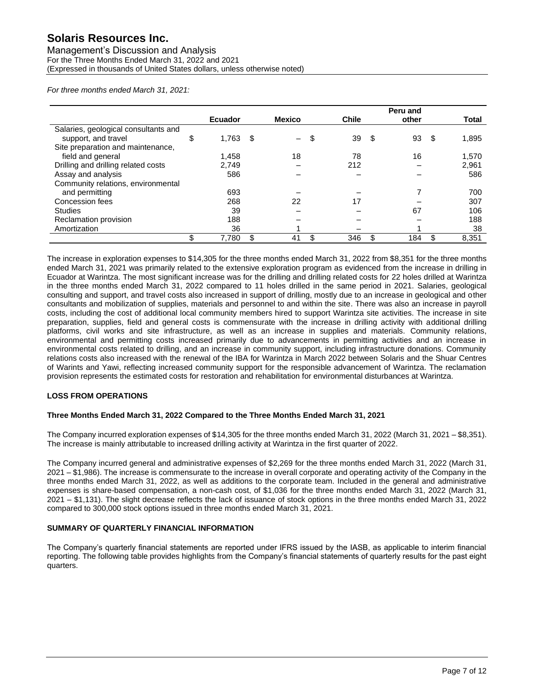#### Management's Discussion and Analysis For the Three Months Ended March 31, 2022 and 2021 (Expressed in thousands of United States dollars, unless otherwise noted)

*For three months ended March 31, 2021:*

|                                      | <b>Ecuador</b> |      | <b>Mexico</b>          | <b>Chile</b> |      | Peru and<br>other | <b>Total</b> |
|--------------------------------------|----------------|------|------------------------|--------------|------|-------------------|--------------|
| Salaries, geological consultants and |                |      |                        |              |      |                   |              |
| support, and travel                  | \$<br>1,763    | - \$ | $\qquad \qquad \qquad$ | \$<br>39     | - \$ | 93                | \$<br>1,895  |
| Site preparation and maintenance,    |                |      |                        |              |      |                   |              |
| field and general                    | 1,458          |      | 18                     | 78           |      | 16                | 1,570        |
| Drilling and drilling related costs  | 2.749          |      |                        | 212          |      |                   | 2,961        |
| Assay and analysis                   | 586            |      |                        |              |      |                   | 586          |
| Community relations, environmental   |                |      |                        |              |      |                   |              |
| and permitting                       | 693            |      |                        |              |      |                   | 700          |
| Concession fees                      | 268            |      | 22                     | 17           |      |                   | 307          |
| <b>Studies</b>                       | 39             |      |                        |              |      | 67                | 106          |
| Reclamation provision                | 188            |      |                        |              |      |                   | 188          |
| Amortization                         | 36             |      |                        |              |      |                   | 38           |
|                                      | \$<br>7,780    |      | 41                     | 346          | \$   | 184               | \$<br>8.351  |

The increase in exploration expenses to \$14,305 for the three months ended March 31, 2022 from \$8,351 for the three months ended March 31, 2021 was primarily related to the extensive exploration program as evidenced from the increase in drilling in Ecuador at Warintza. The most significant increase was for the drilling and drilling related costs for 22 holes drilled at Warintza in the three months ended March 31, 2022 compared to 11 holes drilled in the same period in 2021. Salaries, geological consulting and support, and travel costs also increased in support of drilling, mostly due to an increase in geological and other consultants and mobilization of supplies, materials and personnel to and within the site. There was also an increase in payroll costs, including the cost of additional local community members hired to support Warintza site activities. The increase in site preparation, supplies, field and general costs is commensurate with the increase in drilling activity with additional drilling platforms, civil works and site infrastructure, as well as an increase in supplies and materials. Community relations, environmental and permitting costs increased primarily due to advancements in permitting activities and an increase in environmental costs related to drilling, and an increase in community support, including infrastructure donations. Community relations costs also increased with the renewal of the IBA for Warintza in March 2022 between Solaris and the Shuar Centres of Warints and Yawi, reflecting increased community support for the responsible advancement of Warintza. The reclamation provision represents the estimated costs for restoration and rehabilitation for environmental disturbances at Warintza.

#### **LOSS FROM OPERATIONS**

#### **Three Months Ended March 31, 2022 Compared to the Three Months Ended March 31, 2021**

The Company incurred exploration expenses of \$14,305 for the three months ended March 31, 2022 (March 31, 2021 – \$8,351). The increase is mainly attributable to increased drilling activity at Warintza in the first quarter of 2022.

The Company incurred general and administrative expenses of \$2,269 for the three months ended March 31, 2022 (March 31, 2021 – \$1,986). The increase is commensurate to the increase in overall corporate and operating activity of the Company in the three months ended March 31, 2022, as well as additions to the corporate team. Included in the general and administrative expenses is share-based compensation, a non-cash cost, of \$1,036 for the three months ended March 31, 2022 (March 31, 2021 – \$1,131). The slight decrease reflects the lack of issuance of stock options in the three months ended March 31, 2022 compared to 300,000 stock options issued in three months ended March 31, 2021.

#### **SUMMARY OF QUARTERLY FINANCIAL INFORMATION**

The Company's quarterly financial statements are reported under IFRS issued by the IASB, as applicable to interim financial reporting. The following table provides highlights from the Company's financial statements of quarterly results for the past eight quarters.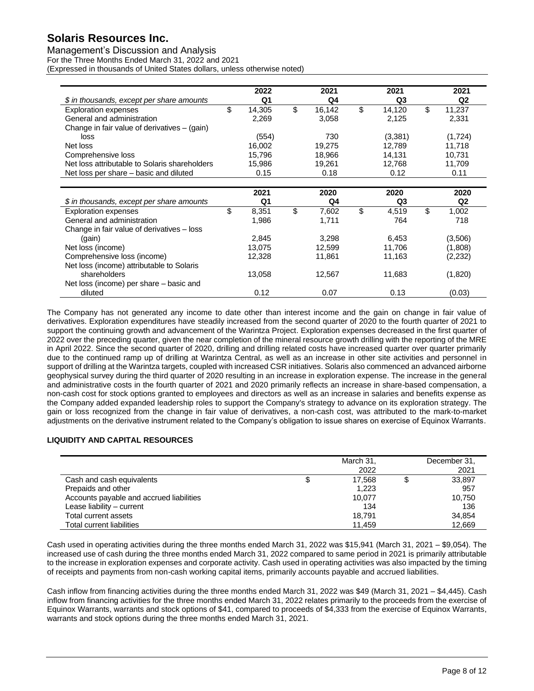## Management's Discussion and Analysis

For the Three Months Ended March 31, 2022 and 2021

(Expressed in thousands of United States dollars, unless otherwise noted)

| \$ in thousands, except per share amounts     | 2022<br>Q1   | 2021<br>Q4   | 2021<br>Q3     | 2021<br>Q <sub>2</sub> |
|-----------------------------------------------|--------------|--------------|----------------|------------------------|
| <b>Exploration expenses</b>                   | \$<br>14,305 | \$<br>16,142 | \$<br>14,120   | \$<br>11,237           |
| General and administration                    | 2,269        | 3,058        | 2,125          | 2,331                  |
| Change in fair value of derivatives - (gain)  |              |              |                |                        |
| loss                                          | (554)        | 730          | (3,381)        | (1,724)                |
| Net loss                                      | 16,002       | 19,275       | 12,789         | 11,718                 |
| Comprehensive loss                            | 15,796       | 18,966       | 14,131         | 10,731                 |
| Net loss attributable to Solaris shareholders | 15,986       | 19,261       | 12,768         | 11,709                 |
| Net loss per share – basic and diluted        | 0.15         | 0.18         | 0.12           | 0.11                   |
|                                               |              |              |                |                        |
|                                               | 2021         | 2020         | 2020           | 2020                   |
| \$ in thousands, except per share amounts     | Q1           | Q4           | Q <sub>3</sub> | Q <sub>2</sub>         |
| <b>Exploration expenses</b>                   | \$<br>8,351  | \$<br>7,602  | \$<br>4,519    | \$<br>1,002            |
| General and administration                    | 1,986        | 1,711        | 764            | 718                    |
| Change in fair value of derivatives – loss    |              |              |                |                        |
| (gain)                                        | 2,845        | 3,298        | 6,453          | (3,506)                |
| Net loss (income)                             | 13.075       | 12,599       | 11,706         | (1,808)                |
| Comprehensive loss (income)                   | 12,328       | 11,861       | 11,163         | (2,232)                |
| Net loss (income) attributable to Solaris     |              |              |                |                        |
| shareholders                                  | 13,058       | 12,567       | 11,683         | (1,820)                |
| Net loss (income) per share - basic and       |              |              |                |                        |
| diluted                                       | 0.12         | 0.07         | 0.13           | (0.03)                 |

The Company has not generated any income to date other than interest income and the gain on change in fair value of derivatives. Exploration expenditures have steadily increased from the second quarter of 2020 to the fourth quarter of 2021 to support the continuing growth and advancement of the Warintza Project. Exploration expenses decreased in the first quarter of 2022 over the preceding quarter, given the near completion of the mineral resource growth drilling with the reporting of the MRE in April 2022. Since the second quarter of 2020, drilling and drilling related costs have increased quarter over quarter primarily due to the continued ramp up of drilling at Warintza Central, as well as an increase in other site activities and personnel in support of drilling at the Warintza targets, coupled with increased CSR initiatives. Solaris also commenced an advanced airborne geophysical survey during the third quarter of 2020 resulting in an increase in exploration expense. The increase in the general and administrative costs in the fourth quarter of 2021 and 2020 primarily reflects an increase in share-based compensation, a non-cash cost for stock options granted to employees and directors as well as an increase in salaries and benefits expense as the Company added expanded leadership roles to support the Company's strategy to advance on its exploration strategy. The gain or loss recognized from the change in fair value of derivatives, a non-cash cost, was attributed to the mark-to-market adjustments on the derivative instrument related to the Company's obligation to issue shares on exercise of Equinox Warrants.

## **LIQUIDITY AND CAPITAL RESOURCES**

|                                          | March 31,<br>2022 | December 31,<br>2021 |
|------------------------------------------|-------------------|----------------------|
| Cash and cash equivalents                | 17.568            | 33.897               |
| Prepaids and other                       | 1,223             | 957                  |
| Accounts payable and accrued liabilities | 10.077            | 10,750               |
| Lease liability - current                | 134               | 136                  |
| Total current assets                     | 18.791            | 34.854               |
| Total current liabilities                | 11.459            | 12.669               |

Cash used in operating activities during the three months ended March 31, 2022 was \$15,941 (March 31, 2021 – \$9,054). The increased use of cash during the three months ended March 31, 2022 compared to same period in 2021 is primarily attributable to the increase in exploration expenses and corporate activity. Cash used in operating activities was also impacted by the timing of receipts and payments from non-cash working capital items, primarily accounts payable and accrued liabilities.

Cash inflow from financing activities during the three months ended March 31, 2022 was \$49 (March 31, 2021 – \$4,445). Cash inflow from financing activities for the three months ended March 31, 2022 relates primarily to the proceeds from the exercise of Equinox Warrants, warrants and stock options of \$41, compared to proceeds of \$4,333 from the exercise of Equinox Warrants, warrants and stock options during the three months ended March 31, 2021.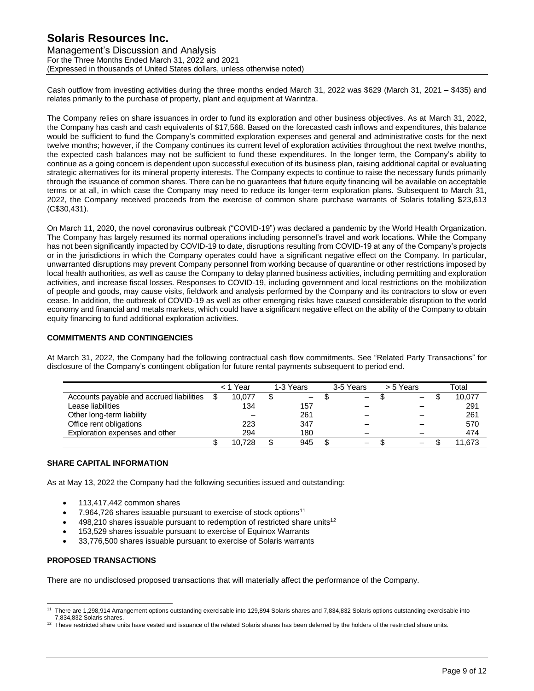Management's Discussion and Analysis For the Three Months Ended March 31, 2022 and 2021 (Expressed in thousands of United States dollars, unless otherwise noted)

Cash outflow from investing activities during the three months ended March 31, 2022 was \$629 (March 31, 2021 – \$435) and relates primarily to the purchase of property, plant and equipment at Warintza.

The Company relies on share issuances in order to fund its exploration and other business objectives. As at March 31, 2022, the Company has cash and cash equivalents of \$17,568. Based on the forecasted cash inflows and expenditures, this balance would be sufficient to fund the Company's committed exploration expenses and general and administrative costs for the next twelve months; however, if the Company continues its current level of exploration activities throughout the next twelve months, the expected cash balances may not be sufficient to fund these expenditures. In the longer term, the Company's ability to continue as a going concern is dependent upon successful execution of its business plan, raising additional capital or evaluating strategic alternatives for its mineral property interests. The Company expects to continue to raise the necessary funds primarily through the issuance of common shares. There can be no guarantees that future equity financing will be available on acceptable terms or at all, in which case the Company may need to reduce its longer-term exploration plans. Subsequent to March 31, 2022, the Company received proceeds from the exercise of common share purchase warrants of Solaris totalling \$23,613 (C\$30,431).

On March 11, 2020, the novel coronavirus outbreak ("COVID-19") was declared a pandemic by the World Health Organization. The Company has largely resumed its normal operations including personnel's travel and work locations. While the Company has not been significantly impacted by COVID-19 to date, disruptions resulting from COVID-19 at any of the Company's projects or in the jurisdictions in which the Company operates could have a significant negative effect on the Company. In particular, unwarranted disruptions may prevent Company personnel from working because of quarantine or other restrictions imposed by local health authorities, as well as cause the Company to delay planned business activities, including permitting and exploration activities, and increase fiscal losses. Responses to COVID-19, including government and local restrictions on the mobilization of people and goods, may cause visits, fieldwork and analysis performed by the Company and its contractors to slow or even cease. In addition, the outbreak of COVID-19 as well as other emerging risks have caused considerable disruption to the world economy and financial and metals markets, which could have a significant negative effect on the ability of the Company to obtain equity financing to fund additional exploration activities.

### **COMMITMENTS AND CONTINGENCIES**

At March 31, 2022, the Company had the following contractual cash flow commitments. See "Related Party Transactions" for disclosure of the Company's contingent obligation for future rental payments subsequent to period end.

|                                          | Year   | 1-3 Years         | 3-5 Years | > 5 Years | Total  |
|------------------------------------------|--------|-------------------|-----------|-----------|--------|
| Accounts payable and accrued liabilities | 10.077 | $\qquad \qquad -$ |           | —         | 10,077 |
| Lease liabilities                        | 134    | 157               |           |           | 291    |
| Other long-term liability                |        | 261               |           |           | 261    |
| Office rent obligations                  | 223    | 347               |           |           | 570    |
| Exploration expenses and other           | 294    | 180               |           |           | 474    |
|                                          | 10.728 | 945               |           | -         | 11.673 |

## **SHARE CAPITAL INFORMATION**

As at May 13, 2022 the Company had the following securities issued and outstanding:

- 113,417,442 common shares
- 7,964,726 shares issuable pursuant to exercise of stock options<sup>11</sup>
- $498,210$  shares issuable pursuant to redemption of restricted share units<sup>12</sup>
- 153,529 shares issuable pursuant to exercise of Equinox Warrants
- 33,776,500 shares issuable pursuant to exercise of Solaris warrants

#### **PROPOSED TRANSACTIONS**

There are no undisclosed proposed transactions that will materially affect the performance of the Company.

<sup>11</sup> There are 1,298,914 Arrangement options outstanding exercisable into 129,894 Solaris shares and 7,834,832 Solaris options outstanding exercisable into 7,834,832 Solaris shares.

 $12$  These restricted share units have vested and issuance of the related Solaris shares has been deferred by the holders of the restricted share units.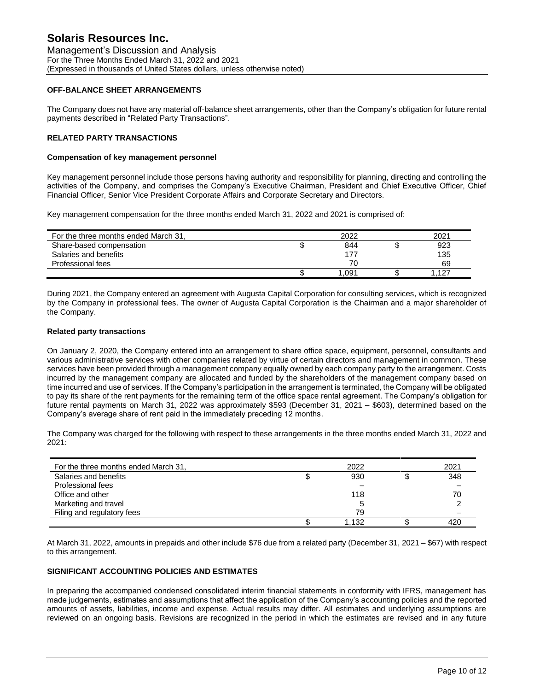Management's Discussion and Analysis For the Three Months Ended March 31, 2022 and 2021 (Expressed in thousands of United States dollars, unless otherwise noted)

### **OFF-BALANCE SHEET ARRANGEMENTS**

The Company does not have any material off-balance sheet arrangements, other than the Company's obligation for future rental payments described in "Related Party Transactions".

### **RELATED PARTY TRANSACTIONS**

#### **Compensation of key management personnel**

Key management personnel include those persons having authority and responsibility for planning, directing and controlling the activities of the Company, and comprises the Company's Executive Chairman, President and Chief Executive Officer, Chief Financial Officer, Senior Vice President Corporate Affairs and Corporate Secretary and Directors.

Key management compensation for the three months ended March 31, 2022 and 2021 is comprised of:

| For the three months ended March 31. | 2022  | 2021 |
|--------------------------------------|-------|------|
| Share-based compensation             | 844   | 923  |
| Salaries and benefits                |       | 135  |
| Professional fees                    | 70    | 69   |
|                                      | 1.091 | .127 |

During 2021, the Company entered an agreement with Augusta Capital Corporation for consulting services, which is recognized by the Company in professional fees. The owner of Augusta Capital Corporation is the Chairman and a major shareholder of the Company.

#### **Related party transactions**

On January 2, 2020, the Company entered into an arrangement to share office space, equipment, personnel, consultants and various administrative services with other companies related by virtue of certain directors and management in common. These services have been provided through a management company equally owned by each company party to the arrangement. Costs incurred by the management company are allocated and funded by the shareholders of the management company based on time incurred and use of services. If the Company's participation in the arrangement is terminated, the Company will be obligated to pay its share of the rent payments for the remaining term of the office space rental agreement. The Company's obligation for future rental payments on March 31, 2022 was approximately \$593 (December 31, 2021 – \$603), determined based on the Company's average share of rent paid in the immediately preceding 12 months.

The Company was charged for the following with respect to these arrangements in the three months ended March 31, 2022 and 2021:

| For the three months ended March 31, | 2022  | 2021 |
|--------------------------------------|-------|------|
| Salaries and benefits                | 930   | 348  |
| Professional fees                    |       |      |
| Office and other                     | 118   | 70   |
| Marketing and travel                 |       |      |
| Filing and regulatory fees           | 79    |      |
|                                      | 1.132 | 420  |

At March 31, 2022, amounts in prepaids and other include \$76 due from a related party (December 31, 2021 – \$67) with respect to this arrangement.

#### **SIGNIFICANT ACCOUNTING POLICIES AND ESTIMATES**

In preparing the accompanied condensed consolidated interim financial statements in conformity with IFRS, management has made judgements, estimates and assumptions that affect the application of the Company's accounting policies and the reported amounts of assets, liabilities, income and expense. Actual results may differ. All estimates and underlying assumptions are reviewed on an ongoing basis. Revisions are recognized in the period in which the estimates are revised and in any future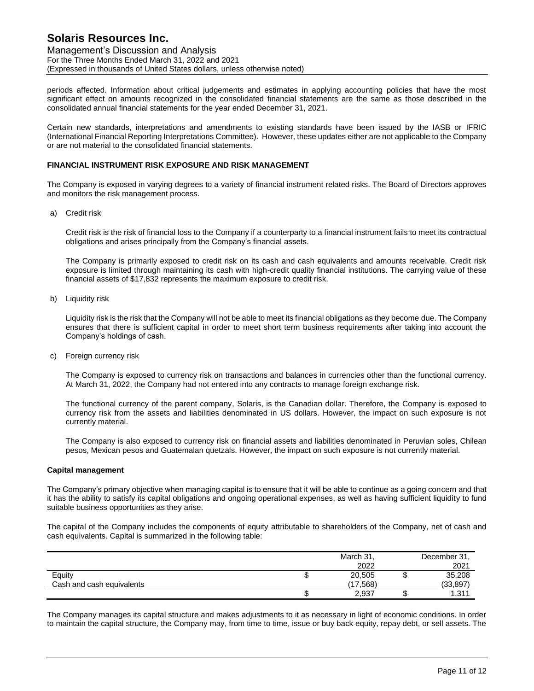Management's Discussion and Analysis For the Three Months Ended March 31, 2022 and 2021 (Expressed in thousands of United States dollars, unless otherwise noted)

periods affected. Information about critical judgements and estimates in applying accounting policies that have the most significant effect on amounts recognized in the consolidated financial statements are the same as those described in the consolidated annual financial statements for the year ended December 31, 2021.

Certain new standards, interpretations and amendments to existing standards have been issued by the IASB or IFRIC (International Financial Reporting Interpretations Committee). However, these updates either are not applicable to the Company or are not material to the consolidated financial statements.

### **FINANCIAL INSTRUMENT RISK EXPOSURE AND RISK MANAGEMENT**

The Company is exposed in varying degrees to a variety of financial instrument related risks. The Board of Directors approves and monitors the risk management process.

a) Credit risk

Credit risk is the risk of financial loss to the Company if a counterparty to a financial instrument fails to meet its contractual obligations and arises principally from the Company's financial assets.

The Company is primarily exposed to credit risk on its cash and cash equivalents and amounts receivable. Credit risk exposure is limited through maintaining its cash with high-credit quality financial institutions. The carrying value of these financial assets of \$17,832 represents the maximum exposure to credit risk.

b) Liquidity risk

Liquidity risk is the risk that the Company will not be able to meet its financial obligations as they become due. The Company ensures that there is sufficient capital in order to meet short term business requirements after taking into account the Company's holdings of cash.

c) Foreign currency risk

The Company is exposed to currency risk on transactions and balances in currencies other than the functional currency. At March 31, 2022, the Company had not entered into any contracts to manage foreign exchange risk.

The functional currency of the parent company, Solaris, is the Canadian dollar. Therefore, the Company is exposed to currency risk from the assets and liabilities denominated in US dollars. However, the impact on such exposure is not currently material.

The Company is also exposed to currency risk on financial assets and liabilities denominated in Peruvian soles, Chilean pesos, Mexican pesos and Guatemalan quetzals. However, the impact on such exposure is not currently material.

#### **Capital management**

The Company's primary objective when managing capital is to ensure that it will be able to continue as a going concern and that it has the ability to satisfy its capital obligations and ongoing operational expenses, as well as having sufficient liquidity to fund suitable business opportunities as they arise.

The capital of the Company includes the components of equity attributable to shareholders of the Company, net of cash and cash equivalents. Capital is summarized in the following table:

|                           | March 31, |   | December 31, |
|---------------------------|-----------|---|--------------|
|                           | 2022      |   | 2021         |
| Equity                    | 20,505    | w | 35,208       |
| Cash and cash equivalents | (17.568)  |   | (33,897)     |
|                           | 2,937     |   | 1,311        |

The Company manages its capital structure and makes adjustments to it as necessary in light of economic conditions. In order to maintain the capital structure, the Company may, from time to time, issue or buy back equity, repay debt, or sell assets. The